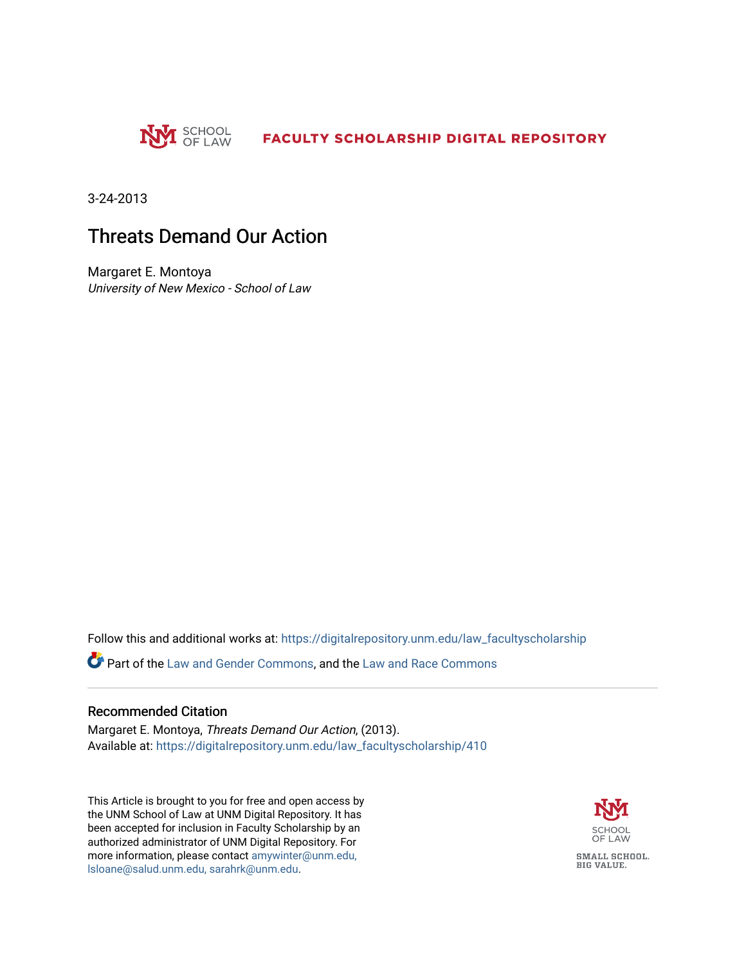

3-24-2013

### Threats Demand Our Action

Margaret E. Montoya University of New Mexico - School of Law

Follow this and additional works at: [https://digitalrepository.unm.edu/law\\_facultyscholarship](https://digitalrepository.unm.edu/law_facultyscholarship?utm_source=digitalrepository.unm.edu%2Flaw_facultyscholarship%2F410&utm_medium=PDF&utm_campaign=PDFCoverPages) 

Part of the [Law and Gender Commons,](http://network.bepress.com/hgg/discipline/1298?utm_source=digitalrepository.unm.edu%2Flaw_facultyscholarship%2F410&utm_medium=PDF&utm_campaign=PDFCoverPages) and the [Law and Race Commons](http://network.bepress.com/hgg/discipline/1300?utm_source=digitalrepository.unm.edu%2Flaw_facultyscholarship%2F410&utm_medium=PDF&utm_campaign=PDFCoverPages)

#### Recommended Citation

Margaret E. Montoya, Threats Demand Our Action, (2013). Available at: [https://digitalrepository.unm.edu/law\\_facultyscholarship/410](https://digitalrepository.unm.edu/law_facultyscholarship/410?utm_source=digitalrepository.unm.edu%2Flaw_facultyscholarship%2F410&utm_medium=PDF&utm_campaign=PDFCoverPages) 

This Article is brought to you for free and open access by the UNM School of Law at UNM Digital Repository. It has been accepted for inclusion in Faculty Scholarship by an authorized administrator of UNM Digital Repository. For more information, please contact [amywinter@unm.edu,](mailto:amywinter@unm.edu,%20lsloane@salud.unm.edu,%20sarahrk@unm.edu)  [lsloane@salud.unm.edu, sarahrk@unm.edu.](mailto:amywinter@unm.edu,%20lsloane@salud.unm.edu,%20sarahrk@unm.edu)

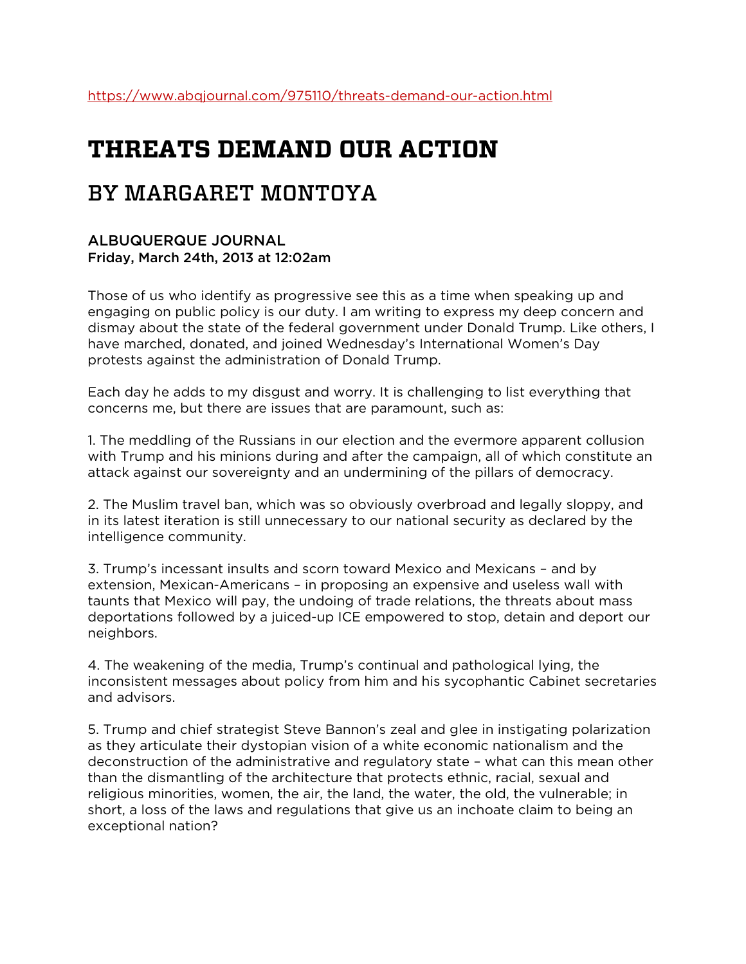# **THREATS DEMAND OUR ACTION**

## BY MARGARET MONTOYA

### ALBUQUERQUE JOURNAL Friday, March 24th, 2013 at 12:02am

Those of us who identify as progressive see this as a time when speaking up and engaging on public policy is our duty. I am writing to express my deep concern and dismay about the state of the federal government under Donald Trump. Like others, I have marched, donated, and joined Wednesday's International Women's Day protests against the administration of Donald Trump.

Each day he adds to my disgust and worry. It is challenging to list everything that concerns me, but there are issues that are paramount, such as:

1. The meddling of the Russians in our election and the evermore apparent collusion with Trump and his minions during and after the campaign, all of which constitute an attack against our sovereignty and an undermining of the pillars of democracy.

2. The Muslim travel ban, which was so obviously overbroad and legally sloppy, and in its latest iteration is still unnecessary to our national security as declared by the intelligence community.

3. Trump's incessant insults and scorn toward Mexico and Mexicans – and by extension, Mexican-Americans – in proposing an expensive and useless wall with taunts that Mexico will pay, the undoing of trade relations, the threats about mass deportations followed by a juiced-up ICE empowered to stop, detain and deport our neighbors.

4. The weakening of the media, Trump's continual and pathological lying, the inconsistent messages about policy from him and his sycophantic Cabinet secretaries and advisors.

5. Trump and chief strategist Steve Bannon's zeal and glee in instigating polarization as they articulate their dystopian vision of a white economic nationalism and the deconstruction of the administrative and regulatory state – what can this mean other than the dismantling of the architecture that protects ethnic, racial, sexual and religious minorities, women, the air, the land, the water, the old, the vulnerable; in short, a loss of the laws and regulations that give us an inchoate claim to being an exceptional nation?